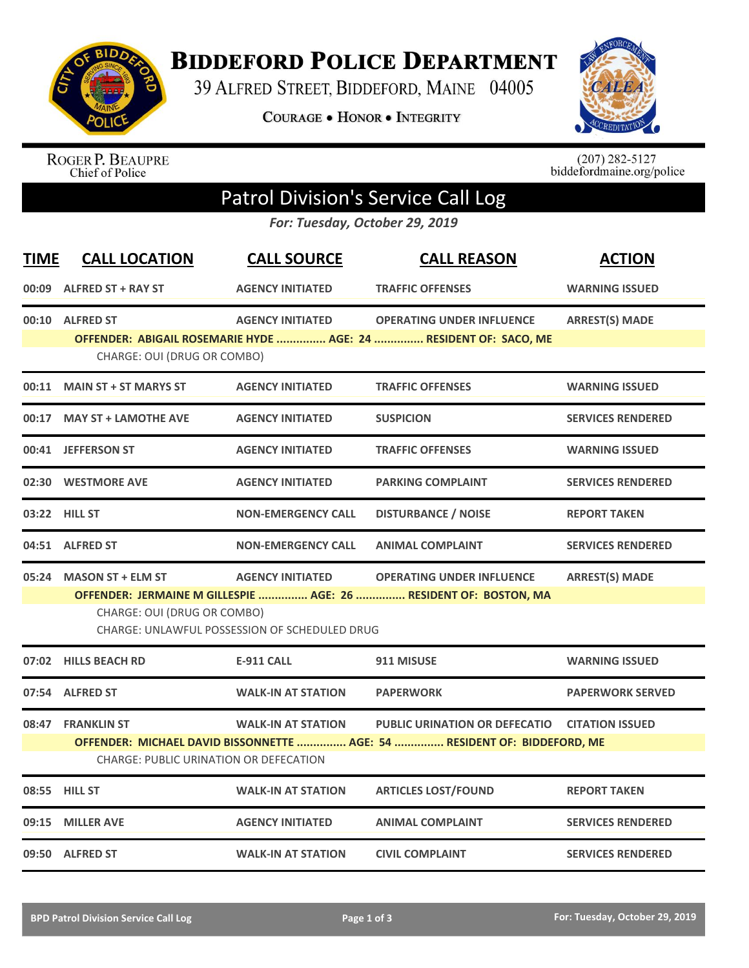

**BIDDEFORD POLICE DEPARTMENT** 

39 ALFRED STREET, BIDDEFORD, MAINE 04005

COURAGE . HONOR . INTEGRITY



ROGER P. BEAUPRE<br>Chief of Police

 $(207)$  282-5127<br>biddefordmaine.org/police

## Patrol Division's Service Call Log

*For: Tuesday, October 29, 2019*

| <b>TIME</b> | <b>CALL LOCATION</b>                   | <b>CALL SOURCE</b>                            | <b>CALL REASON</b>                                                       | <b>ACTION</b>            |
|-------------|----------------------------------------|-----------------------------------------------|--------------------------------------------------------------------------|--------------------------|
| 00:09       | <b>ALFRED ST + RAY ST</b>              | <b>AGENCY INITIATED</b>                       | <b>TRAFFIC OFFENSES</b>                                                  | <b>WARNING ISSUED</b>    |
|             | 00:10 ALFRED ST                        | <b>AGENCY INITIATED</b>                       | <b>OPERATING UNDER INFLUENCE</b>                                         | <b>ARREST(S) MADE</b>    |
|             | CHARGE: OUI (DRUG OR COMBO)            |                                               | OFFENDER: ABIGAIL ROSEMARIE HYDE  AGE: 24  RESIDENT OF: SACO, ME         |                          |
|             | 00:11 MAIN ST + ST MARYS ST            | <b>AGENCY INITIATED</b>                       | <b>TRAFFIC OFFENSES</b>                                                  | <b>WARNING ISSUED</b>    |
|             | 00:17 MAY ST + LAMOTHE AVE             | <b>AGENCY INITIATED</b>                       | <b>SUSPICION</b>                                                         | <b>SERVICES RENDERED</b> |
|             | 00:41 JEFFERSON ST                     | <b>AGENCY INITIATED</b>                       | <b>TRAFFIC OFFENSES</b>                                                  | <b>WARNING ISSUED</b>    |
|             | 02:30 WESTMORE AVE                     | <b>AGENCY INITIATED</b>                       | <b>PARKING COMPLAINT</b>                                                 | <b>SERVICES RENDERED</b> |
|             | 03:22 HILL ST                          | <b>NON-EMERGENCY CALL</b>                     | <b>DISTURBANCE / NOISE</b>                                               | <b>REPORT TAKEN</b>      |
|             | 04:51 ALFRED ST                        | <b>NON-EMERGENCY CALL</b>                     | <b>ANIMAL COMPLAINT</b>                                                  | <b>SERVICES RENDERED</b> |
|             | 05:24 MASON ST + ELM ST                | <b>AGENCY INITIATED</b>                       | <b>OPERATING UNDER INFLUENCE</b>                                         | <b>ARREST(S) MADE</b>    |
|             |                                        |                                               | OFFENDER: JERMAINE M GILLESPIE  AGE: 26  RESIDENT OF: BOSTON, MA         |                          |
|             | CHARGE: OUI (DRUG OR COMBO)            | CHARGE: UNLAWFUL POSSESSION OF SCHEDULED DRUG |                                                                          |                          |
|             | 07:02 HILLS BEACH RD                   | <b>E-911 CALL</b>                             | 911 MISUSE                                                               | <b>WARNING ISSUED</b>    |
|             | 07:54 ALFRED ST                        | <b>WALK-IN AT STATION</b>                     | <b>PAPERWORK</b>                                                         | <b>PAPERWORK SERVED</b>  |
|             | 08:47 FRANKLIN ST                      | <b>WALK-IN AT STATION</b>                     | <b>PUBLIC URINATION OR DEFECATIO</b>                                     | <b>CITATION ISSUED</b>   |
|             | CHARGE: PUBLIC URINATION OR DEFECATION |                                               | OFFENDER: MICHAEL DAVID BISSONNETTE  AGE: 54  RESIDENT OF: BIDDEFORD, ME |                          |
|             | 08:55 HILL ST                          | <b>WALK-IN AT STATION</b>                     | <b>ARTICLES LOST/FOUND</b>                                               | <b>REPORT TAKEN</b>      |
| 09:15       | <b>MILLER AVE</b>                      | <b>AGENCY INITIATED</b>                       | <b>ANIMAL COMPLAINT</b>                                                  | <b>SERVICES RENDERED</b> |
|             | 09:50 ALFRED ST                        | <b>WALK-IN AT STATION</b>                     | <b>CIVIL COMPLAINT</b>                                                   | <b>SERVICES RENDERED</b> |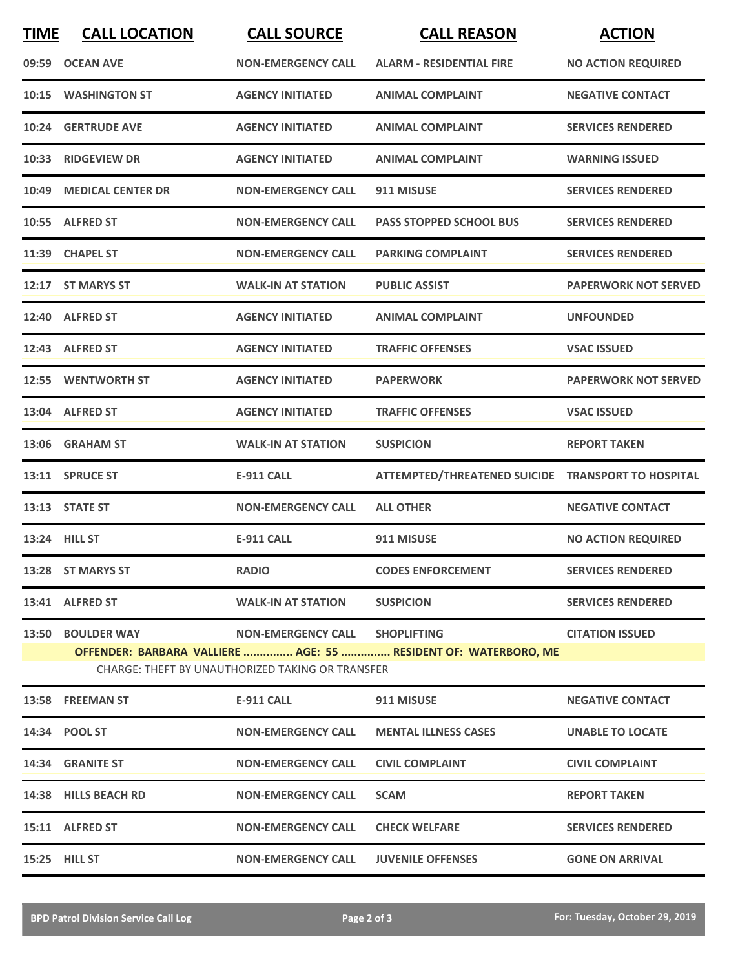| <b>TIME</b> | <b>CALL LOCATION</b>                                                                                                | <b>CALL SOURCE</b>             | <b>CALL REASON</b>                                 | <b>ACTION</b>               |  |  |  |
|-------------|---------------------------------------------------------------------------------------------------------------------|--------------------------------|----------------------------------------------------|-----------------------------|--|--|--|
| 09:59       | <b>OCEAN AVE</b>                                                                                                    | <b>NON-EMERGENCY CALL</b>      | <b>ALARM - RESIDENTIAL FIRE</b>                    | <b>NO ACTION REQUIRED</b>   |  |  |  |
| 10:15       | <b>WASHINGTON ST</b>                                                                                                | <b>AGENCY INITIATED</b>        | <b>ANIMAL COMPLAINT</b>                            | <b>NEGATIVE CONTACT</b>     |  |  |  |
|             | 10:24 GERTRUDE AVE                                                                                                  | <b>AGENCY INITIATED</b>        | <b>ANIMAL COMPLAINT</b>                            | <b>SERVICES RENDERED</b>    |  |  |  |
| 10:33       | <b>RIDGEVIEW DR</b>                                                                                                 | <b>AGENCY INITIATED</b>        | <b>ANIMAL COMPLAINT</b>                            | <b>WARNING ISSUED</b>       |  |  |  |
| 10:49       | <b>MEDICAL CENTER DR</b>                                                                                            | <b>NON-EMERGENCY CALL</b>      | 911 MISUSE                                         | <b>SERVICES RENDERED</b>    |  |  |  |
|             | 10:55 ALFRED ST                                                                                                     | <b>NON-EMERGENCY CALL</b>      | <b>PASS STOPPED SCHOOL BUS</b>                     | <b>SERVICES RENDERED</b>    |  |  |  |
|             | 11:39 CHAPEL ST                                                                                                     | <b>NON-EMERGENCY CALL</b>      | <b>PARKING COMPLAINT</b>                           | <b>SERVICES RENDERED</b>    |  |  |  |
|             | 12:17 ST MARYS ST                                                                                                   | <b>WALK-IN AT STATION</b>      | <b>PUBLIC ASSIST</b>                               | <b>PAPERWORK NOT SERVED</b> |  |  |  |
|             | 12:40 ALFRED ST                                                                                                     | <b>AGENCY INITIATED</b>        | <b>ANIMAL COMPLAINT</b>                            | <b>UNFOUNDED</b>            |  |  |  |
|             | 12:43 ALFRED ST                                                                                                     | <b>AGENCY INITIATED</b>        | <b>TRAFFIC OFFENSES</b>                            | <b>VSAC ISSUED</b>          |  |  |  |
|             | 12:55 WENTWORTH ST                                                                                                  | <b>AGENCY INITIATED</b>        | <b>PAPERWORK</b>                                   | <b>PAPERWORK NOT SERVED</b> |  |  |  |
|             | 13:04 ALFRED ST                                                                                                     | <b>AGENCY INITIATED</b>        | <b>TRAFFIC OFFENSES</b>                            | <b>VSAC ISSUED</b>          |  |  |  |
|             | 13:06 GRAHAM ST                                                                                                     | <b>WALK-IN AT STATION</b>      | <b>SUSPICION</b>                                   | <b>REPORT TAKEN</b>         |  |  |  |
| 13:11       | <b>SPRUCE ST</b>                                                                                                    | <b>E-911 CALL</b>              | ATTEMPTED/THREATENED SUICIDE TRANSPORT TO HOSPITAL |                             |  |  |  |
|             | 13:13 STATE ST                                                                                                      | <b>NON-EMERGENCY CALL</b>      | <b>ALL OTHER</b>                                   | <b>NEGATIVE CONTACT</b>     |  |  |  |
|             | 13:24 HILL ST                                                                                                       | <b>E-911 CALL</b>              | 911 MISUSE                                         | <b>NO ACTION REQUIRED</b>   |  |  |  |
|             | 13:28 ST MARYS ST                                                                                                   | <b>RADIO</b>                   | <b>CODES ENFORCEMENT</b>                           | <b>SERVICES RENDERED</b>    |  |  |  |
|             | 13:41 ALFRED ST                                                                                                     | <b>WALK-IN AT STATION</b>      | <b>SUSPICION</b>                                   | <b>SERVICES RENDERED</b>    |  |  |  |
|             | 13:50 BOULDER WAY                                                                                                   | NON-EMERGENCY CALL SHOPLIFTING |                                                    | <b>CITATION ISSUED</b>      |  |  |  |
|             | OFFENDER: BARBARA VALLIERE  AGE: 55  RESIDENT OF: WATERBORO, ME<br>CHARGE: THEFT BY UNAUTHORIZED TAKING OR TRANSFER |                                |                                                    |                             |  |  |  |
|             | 13:58 FREEMAN ST                                                                                                    | E-911 CALL                     | 911 MISUSE                                         | <b>NEGATIVE CONTACT</b>     |  |  |  |
|             | 14:34 POOL ST                                                                                                       | <b>NON-EMERGENCY CALL</b>      | <b>MENTAL ILLNESS CASES</b>                        | <b>UNABLE TO LOCATE</b>     |  |  |  |
|             | 14:34 GRANITE ST                                                                                                    | <b>NON-EMERGENCY CALL</b>      | <b>CIVIL COMPLAINT</b>                             | <b>CIVIL COMPLAINT</b>      |  |  |  |
|             | 14:38 HILLS BEACH RD                                                                                                | <b>NON-EMERGENCY CALL</b>      | <b>SCAM</b>                                        | <b>REPORT TAKEN</b>         |  |  |  |
|             | 15:11 ALFRED ST                                                                                                     | <b>NON-EMERGENCY CALL</b>      | <b>CHECK WELFARE</b>                               | <b>SERVICES RENDERED</b>    |  |  |  |
|             | 15:25 HILL ST                                                                                                       | <b>NON-EMERGENCY CALL</b>      | <b>JUVENILE OFFENSES</b>                           | <b>GONE ON ARRIVAL</b>      |  |  |  |